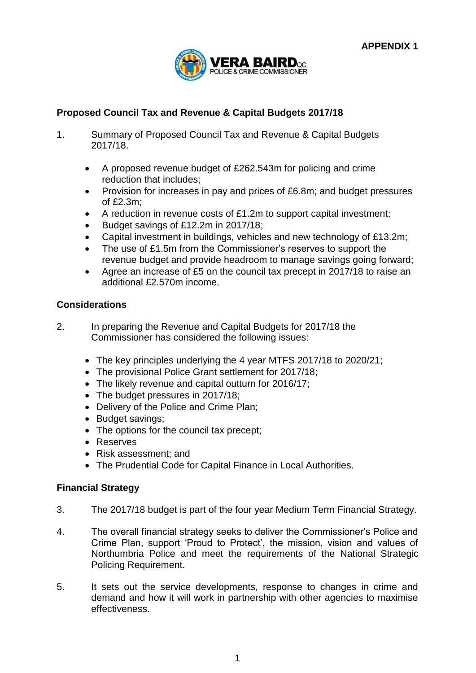

# **Proposed Council Tax and Revenue & Capital Budgets 2017/18**

- 1. Summary of Proposed Council Tax and Revenue & Capital Budgets 2017/18.
	- A proposed revenue budget of £262.543m for policing and crime reduction that includes;
	- Provision for increases in pay and prices of £6.8m; and budget pressures of £2.3m;
	- A reduction in revenue costs of £1.2m to support capital investment;
	- Budget savings of £12.2m in 2017/18;
	- Capital investment in buildings, vehicles and new technology of £13.2m;
	- The use of £1.5m from the Commissioner's reserves to support the revenue budget and provide headroom to manage savings going forward;
	- Agree an increase of £5 on the council tax precept in 2017/18 to raise an additional £2.570m income.

# **Considerations**

- 2. In preparing the Revenue and Capital Budgets for 2017/18 the Commissioner has considered the following issues:
	- The key principles underlying the 4 year MTFS 2017/18 to 2020/21;
	- The provisional Police Grant settlement for 2017/18;
	- The likely revenue and capital outturn for 2016/17;
	- The budget pressures in 2017/18;
	- Delivery of the Police and Crime Plan;
	- Budget savings;
	- The options for the council tax precept;
	- Reserves
	- Risk assessment; and
	- The Prudential Code for Capital Finance in Local Authorities.

# **Financial Strategy**

- 3. The 2017/18 budget is part of the four year Medium Term Financial Strategy.
- 4. The overall financial strategy seeks to deliver the Commissioner's Police and Crime Plan, support 'Proud to Protect', the mission, vision and values of Northumbria Police and meet the requirements of the National Strategic Policing Requirement.
- 5. It sets out the service developments, response to changes in crime and demand and how it will work in partnership with other agencies to maximise effectiveness.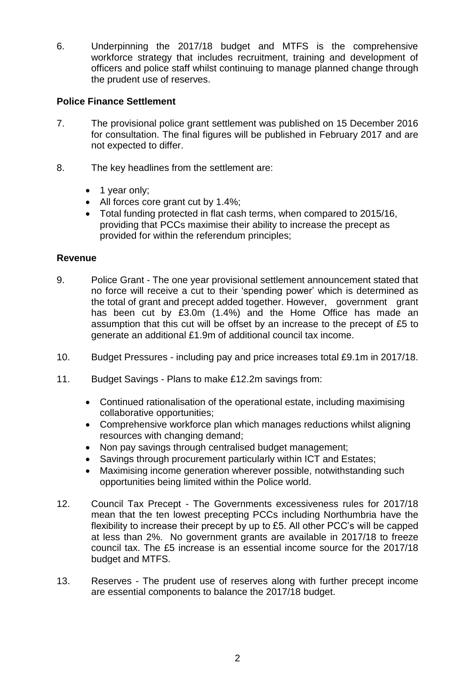6. Underpinning the 2017/18 budget and MTFS is the comprehensive workforce strategy that includes recruitment, training and development of officers and police staff whilst continuing to manage planned change through the prudent use of reserves.

# **Police Finance Settlement**

- 7. The provisional police grant settlement was published on 15 December 2016 for consultation. The final figures will be published in February 2017 and are not expected to differ.
- 8. The key headlines from the settlement are:
	- 1 year only;
	- All forces core grant cut by 1.4%;
	- Total funding protected in flat cash terms, when compared to 2015/16, providing that PCCs maximise their ability to increase the precept as provided for within the referendum principles;

# **Revenue**

- 9. Police Grant The one year provisional settlement announcement stated that no force will receive a cut to their 'spending power' which is determined as the total of grant and precept added together. However, government grant has been cut by £3.0m (1.4%) and the Home Office has made an assumption that this cut will be offset by an increase to the precept of £5 to generate an additional £1.9m of additional council tax income.
- 10. Budget Pressures including pay and price increases total £9.1m in 2017/18.
- 11. Budget Savings Plans to make £12.2m savings from:
	- Continued rationalisation of the operational estate, including maximising collaborative opportunities;
	- Comprehensive workforce plan which manages reductions whilst aligning resources with changing demand;
	- Non pay savings through centralised budget management;
	- Savings through procurement particularly within ICT and Estates;
	- Maximising income generation wherever possible, notwithstanding such opportunities being limited within the Police world.
- 12. Council Tax Precept The Governments excessiveness rules for 2017/18 mean that the ten lowest precepting PCCs including Northumbria have the flexibility to increase their precept by up to £5. All other PCC's will be capped at less than 2%. No government grants are available in 2017/18 to freeze council tax. The £5 increase is an essential income source for the 2017/18 budget and MTFS.
- 13. Reserves The prudent use of reserves along with further precept income are essential components to balance the 2017/18 budget.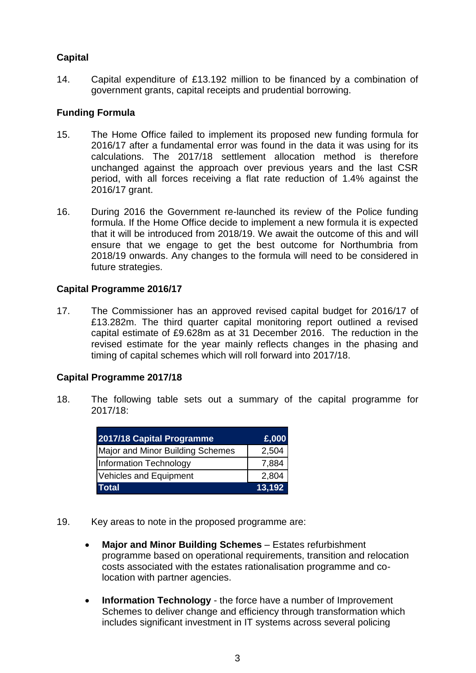# **Capital**

14. Capital expenditure of £13.192 million to be financed by a combination of government grants, capital receipts and prudential borrowing.

# **Funding Formula**

- 15. The Home Office failed to implement its proposed new funding formula for 2016/17 after a fundamental error was found in the data it was using for its calculations. The 2017/18 settlement allocation method is therefore unchanged against the approach over previous years and the last CSR period, with all forces receiving a flat rate reduction of 1.4% against the 2016/17 grant.
- 16. During 2016 the Government re-launched its review of the Police funding formula. If the Home Office decide to implement a new formula it is expected that it will be introduced from 2018/19. We await the outcome of this and will ensure that we engage to get the best outcome for Northumbria from 2018/19 onwards. Any changes to the formula will need to be considered in future strategies.

# **Capital Programme 2016/17**

17. The Commissioner has an approved revised capital budget for 2016/17 of £13.282m. The third quarter capital monitoring report outlined a revised capital estimate of £9.628m as at 31 December 2016. The reduction in the revised estimate for the year mainly reflects changes in the phasing and timing of capital schemes which will roll forward into 2017/18.

# **Capital Programme 2017/18**

18. The following table sets out a summary of the capital programme for 2017/18:

| 2017/18 Capital Programme        | £,000  |
|----------------------------------|--------|
| Major and Minor Building Schemes | 2,504  |
| Information Technology           | 7,884  |
| Vehicles and Equipment           | 2,804  |
| Total                            | 13,192 |

- 19. Key areas to note in the proposed programme are:
	- **Major and Minor Building Schemes** Estates refurbishment programme based on operational requirements, transition and relocation costs associated with the estates rationalisation programme and colocation with partner agencies.
	- **Information Technology** the force have a number of Improvement Schemes to deliver change and efficiency through transformation which includes significant investment in IT systems across several policing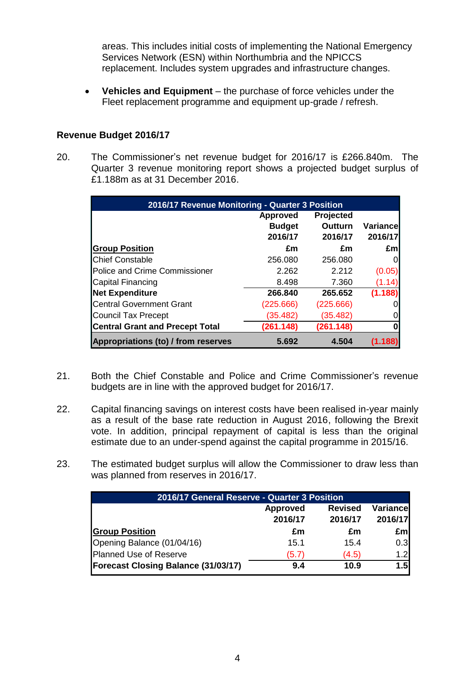areas. This includes initial costs of implementing the National Emergency Services Network (ESN) within Northumbria and the NPICCS replacement. Includes system upgrades and infrastructure changes.

 **Vehicles and Equipment** – the purchase of force vehicles under the Fleet replacement programme and equipment up-grade / refresh.

# **Revenue Budget 2016/17**

20. The Commissioner's net revenue budget for 2016/17 is £266.840m. The Quarter 3 revenue monitoring report shows a projected budget surplus of £1.188m as at 31 December 2016.

| 2016/17 Revenue Monitoring - Quarter 3 Position |                 |                |           |
|-------------------------------------------------|-----------------|----------------|-----------|
|                                                 | <b>Approved</b> | Projected      |           |
|                                                 | <b>Budget</b>   | <b>Outturn</b> | Variancel |
|                                                 | 2016/17         | 2016/17        | 2016/17   |
| <b>Group Position</b>                           | £m              | £m             | £ml       |
| <b>Chief Constable</b>                          | 256.080         | 256.080        | 01        |
| <b>Police and Crime Commissioner</b>            | 2.262           | 2.212          | (0.05)    |
| Capital Financing                               | 8.498           | 7.360          | (1.14)    |
| <b>Net Expenditure</b>                          | 266.840         | 265.652        | (1.188)   |
| <b>Central Government Grant</b>                 | (225.666)       | (225.666)      | 01        |
| <b>Council Tax Precept</b>                      | (35.482)        | (35.482)       | ΟI        |
| <b>Central Grant and Precept Total</b>          | (261.148)       | (261.148)      | 0         |
| Appropriations (to) / from reserves             | 5.692           | 4.504          |           |

- 21. Both the Chief Constable and Police and Crime Commissioner's revenue budgets are in line with the approved budget for 2016/17.
- 22. Capital financing savings on interest costs have been realised in-year mainly as a result of the base rate reduction in August 2016, following the Brexit vote. In addition, principal repayment of capital is less than the original estimate due to an under-spend against the capital programme in 2015/16.
- 23. The estimated budget surplus will allow the Commissioner to draw less than was planned from reserves in 2016/17.

| 2016/17 General Reserve - Quarter 3 Position                                          |       |       |     |  |
|---------------------------------------------------------------------------------------|-------|-------|-----|--|
| <b>Variance</b><br><b>Revised</b><br><b>Approved</b><br>2016/17<br>2016/17<br>2016/17 |       |       |     |  |
| <b>Group Position</b>                                                                 | £m    | £m    | £m  |  |
| Opening Balance (01/04/16)                                                            | 15.1  | 15.4  | 0.3 |  |
| Planned Use of Reserve                                                                | (5.7) | (4.5) | 1.2 |  |
| <b>Forecast Closing Balance (31/03/17)</b>                                            | 9.4   | 10.9  | 1.5 |  |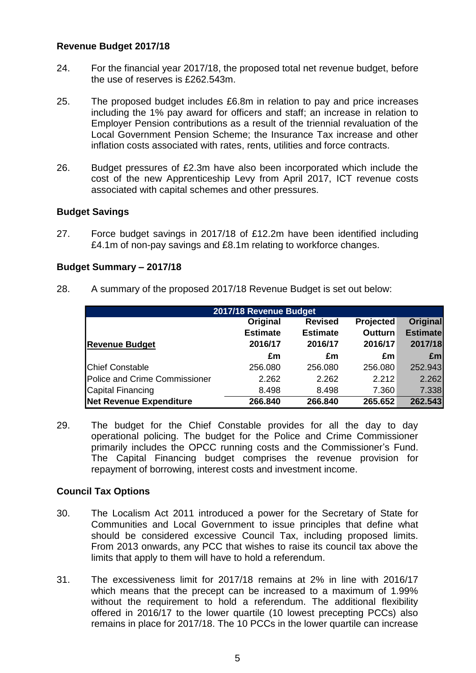### **Revenue Budget 2017/18**

- 24. For the financial year 2017/18, the proposed total net revenue budget, before the use of reserves is £262.543m.
- 25. The proposed budget includes £6.8m in relation to pay and price increases including the 1% pay award for officers and staff; an increase in relation to Employer Pension contributions as a result of the triennial revaluation of the Local Government Pension Scheme; the Insurance Tax increase and other inflation costs associated with rates, rents, utilities and force contracts.
- 26. Budget pressures of £2.3m have also been incorporated which include the cost of the new Apprenticeship Levy from April 2017, ICT revenue costs associated with capital schemes and other pressures.

### **Budget Savings**

27. Force budget savings in 2017/18 of £12.2m have been identified including £4.1m of non-pay savings and £8.1m relating to workforce changes.

### **Budget Summary – 2017/18**

28. A summary of the proposed 2017/18 Revenue Budget is set out below:

| 2017/18 Revenue Budget        |                 |                 |                  |                 |  |
|-------------------------------|-----------------|-----------------|------------------|-----------------|--|
|                               | Original        | <b>Revised</b>  | <b>Projected</b> | <b>Original</b> |  |
|                               | <b>Estimate</b> | <b>Estimate</b> | <b>Outturn</b>   | <b>Estimate</b> |  |
| <b>Revenue Budget</b>         | 2016/17         | 2016/17         | 2016/17          | 2017/18         |  |
|                               | £m              | £m              | £m               | Em              |  |
| <b>Chief Constable</b>        | 256.080         | 256.080         | 256.080          | 252.943         |  |
| Police and Crime Commissioner | 2.262           | 2.262           | 2.212            | 2.262           |  |
| <b>Capital Financing</b>      | 8.498           | 8.498           | 7.360            | 7.338           |  |
| Net Revenue Expenditure       | 266.840         | 266.840         | 265.652          | 262.543         |  |

29. The budget for the Chief Constable provides for all the day to day operational policing. The budget for the Police and Crime Commissioner primarily includes the OPCC running costs and the Commissioner's Fund. The Capital Financing budget comprises the revenue provision for repayment of borrowing, interest costs and investment income.

# **Council Tax Options**

- 30. The Localism Act 2011 introduced a power for the Secretary of State for Communities and Local Government to issue principles that define what should be considered excessive Council Tax, including proposed limits. From 2013 onwards, any PCC that wishes to raise its council tax above the limits that apply to them will have to hold a referendum.
- 31. The excessiveness limit for 2017/18 remains at 2% in line with 2016/17 which means that the precept can be increased to a maximum of 1.99% without the requirement to hold a referendum. The additional flexibility offered in 2016/17 to the lower quartile (10 lowest precepting PCCs) also remains in place for 2017/18. The 10 PCCs in the lower quartile can increase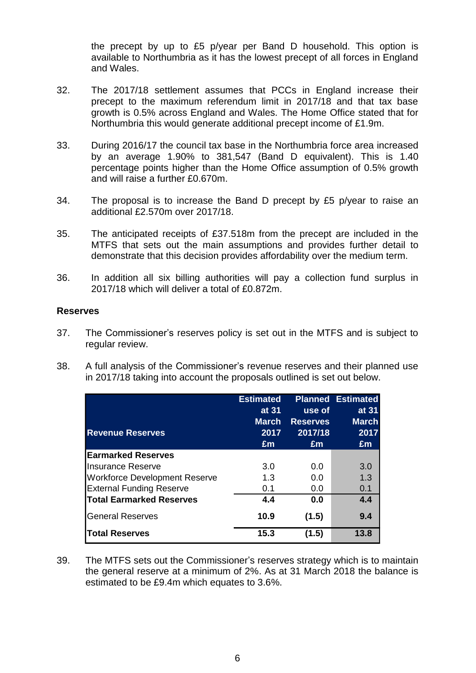the precept by up to £5 p/year per Band D household. This option is available to Northumbria as it has the lowest precept of all forces in England and Wales.

- 32. The 2017/18 settlement assumes that PCCs in England increase their precept to the maximum referendum limit in 2017/18 and that tax base growth is 0.5% across England and Wales. The Home Office stated that for Northumbria this would generate additional precept income of £1.9m.
- 33. During 2016/17 the council tax base in the Northumbria force area increased by an average 1.90% to 381,547 (Band D equivalent). This is 1.40 percentage points higher than the Home Office assumption of 0.5% growth and will raise a further £0.670m.
- 34. The proposal is to increase the Band D precept by £5 p/year to raise an additional £2.570m over 2017/18.
- 35. The anticipated receipts of £37.518m from the precept are included in the MTFS that sets out the main assumptions and provides further detail to demonstrate that this decision provides affordability over the medium term.
- 36. In addition all six billing authorities will pay a collection fund surplus in 2017/18 which will deliver a total of £0.872m.

### **Reserves**

- 37. The Commissioner's reserves policy is set out in the MTFS and is subject to regular review.
- 38. A full analysis of the Commissioner's revenue reserves and their planned use in 2017/18 taking into account the proposals outlined is set out below.

|                                      | <b>Estimated</b> |                 | <b>Planned Estimated</b> |
|--------------------------------------|------------------|-----------------|--------------------------|
|                                      | at 31            | use of          | at 31                    |
|                                      | <b>March</b>     | <b>Reserves</b> | <b>March</b>             |
| <b>Revenue Reserves</b>              | 2017             | 2017/18         | 2017                     |
|                                      | £m               | £m              | £m                       |
| <b>IEarmarked Reserves</b>           |                  |                 |                          |
| Insurance Reserve                    | 3.0              | 0.0             | 3.0                      |
| <b>Workforce Development Reserve</b> | 1.3              | 0.0             | 1.3                      |
| <b>External Funding Reserve</b>      | 0.1              | 0.0             | 0.1                      |
| <b>Total Earmarked Reserves</b>      | 4.4              | 0.0             | 4.4                      |
| <b>General Reserves</b>              | 10.9             | (1.5)           | 9.4                      |
| <b>Total Reserves</b>                | 15.3             | (1.5)           | 13.8                     |

39. The MTFS sets out the Commissioner's reserves strategy which is to maintain the general reserve at a minimum of 2%. As at 31 March 2018 the balance is estimated to be £9.4m which equates to 3.6%.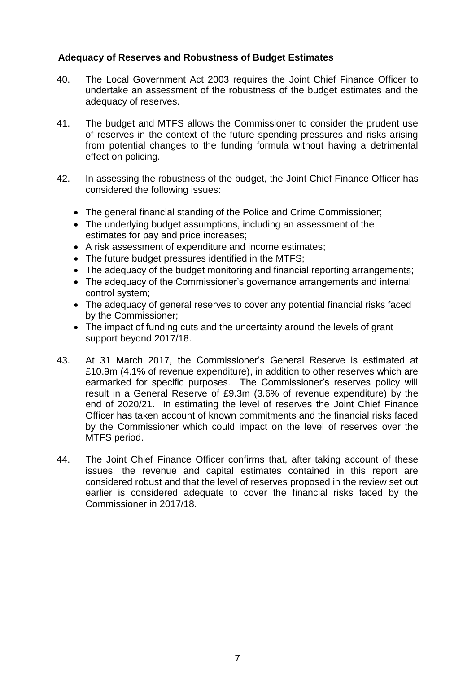# **Adequacy of Reserves and Robustness of Budget Estimates**

- 40. The Local Government Act 2003 requires the Joint Chief Finance Officer to undertake an assessment of the robustness of the budget estimates and the adequacy of reserves.
- 41. The budget and MTFS allows the Commissioner to consider the prudent use of reserves in the context of the future spending pressures and risks arising from potential changes to the funding formula without having a detrimental effect on policing.
- 42. In assessing the robustness of the budget, the Joint Chief Finance Officer has considered the following issues:
	- The general financial standing of the Police and Crime Commissioner;
	- The underlying budget assumptions, including an assessment of the estimates for pay and price increases;
	- A risk assessment of expenditure and income estimates;
	- The future budget pressures identified in the MTFS;
	- The adequacy of the budget monitoring and financial reporting arrangements:
	- The adequacy of the Commissioner's governance arrangements and internal control system;
	- The adequacy of general reserves to cover any potential financial risks faced by the Commissioner;
	- The impact of funding cuts and the uncertainty around the levels of grant support beyond 2017/18.
- 43. At 31 March 2017, the Commissioner's General Reserve is estimated at £10.9m (4.1% of revenue expenditure), in addition to other reserves which are earmarked for specific purposes. The Commissioner's reserves policy will result in a General Reserve of £9.3m (3.6% of revenue expenditure) by the end of 2020/21. In estimating the level of reserves the Joint Chief Finance Officer has taken account of known commitments and the financial risks faced by the Commissioner which could impact on the level of reserves over the MTFS period.
- 44. The Joint Chief Finance Officer confirms that, after taking account of these issues, the revenue and capital estimates contained in this report are considered robust and that the level of reserves proposed in the review set out earlier is considered adequate to cover the financial risks faced by the Commissioner in 2017/18.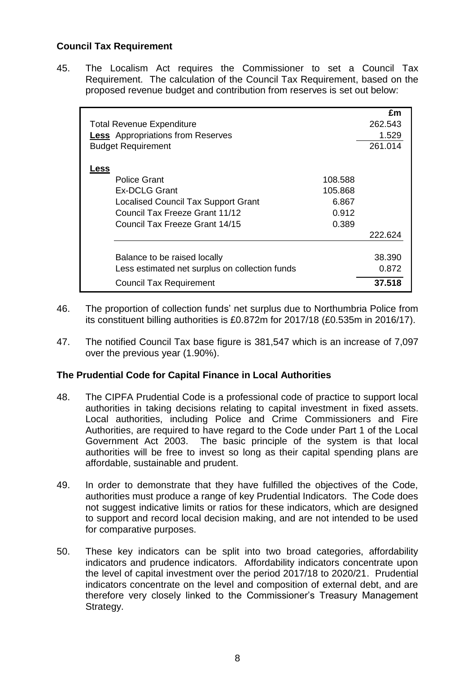# **Council Tax Requirement**

45. The Localism Act requires the Commissioner to set a Council Tax Requirement. The calculation of the Council Tax Requirement, based on the proposed revenue budget and contribution from reserves is set out below:

|                                                |         | £m      |
|------------------------------------------------|---------|---------|
| <b>Total Revenue Expenditure</b>               |         | 262.543 |
| <b>Less</b> Appropriations from Reserves       |         | 1.529   |
| <b>Budget Requirement</b>                      |         | 261.014 |
|                                                |         |         |
| <u>Less</u>                                    |         |         |
| Police Grant                                   | 108.588 |         |
| <b>Ex-DCLG Grant</b>                           | 105.868 |         |
| Localised Council Tax Support Grant            | 6.867   |         |
| Council Tax Freeze Grant 11/12                 | 0.912   |         |
| Council Tax Freeze Grant 14/15                 | 0.389   |         |
|                                                |         | 222.624 |
|                                                |         |         |
| Balance to be raised locally                   |         | 38.390  |
| Less estimated net surplus on collection funds |         | 0.872   |
| <b>Council Tax Requirement</b>                 |         | 37.518  |

- 46. The proportion of collection funds' net surplus due to Northumbria Police from its constituent billing authorities is £0.872m for 2017/18 (£0.535m in 2016/17).
- 47. The notified Council Tax base figure is 381,547 which is an increase of 7,097 over the previous year (1.90%).

# **The Prudential Code for Capital Finance in Local Authorities**

- 48. The CIPFA Prudential Code is a professional code of practice to support local authorities in taking decisions relating to capital investment in fixed assets. Local authorities, including Police and Crime Commissioners and Fire Authorities, are required to have regard to the Code under Part 1 of the Local Government Act 2003. The basic principle of the system is that local authorities will be free to invest so long as their capital spending plans are affordable, sustainable and prudent.
- 49. In order to demonstrate that they have fulfilled the objectives of the Code, authorities must produce a range of key Prudential Indicators. The Code does not suggest indicative limits or ratios for these indicators, which are designed to support and record local decision making, and are not intended to be used for comparative purposes.
- 50. These key indicators can be split into two broad categories, affordability indicators and prudence indicators. Affordability indicators concentrate upon the level of capital investment over the period 2017/18 to 2020/21. Prudential indicators concentrate on the level and composition of external debt, and are therefore very closely linked to the Commissioner's Treasury Management Strategy.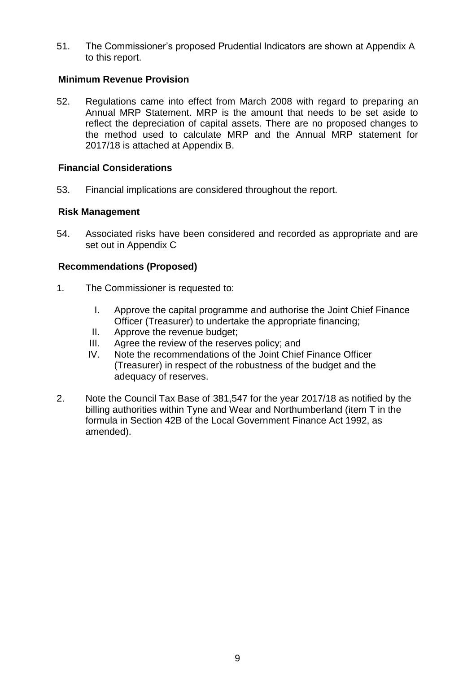51. The Commissioner's proposed Prudential Indicators are shown at Appendix A to this report.

# **Minimum Revenue Provision**

52. Regulations came into effect from March 2008 with regard to preparing an Annual MRP Statement. MRP is the amount that needs to be set aside to reflect the depreciation of capital assets. There are no proposed changes to the method used to calculate MRP and the Annual MRP statement for 2017/18 is attached at Appendix B.

# **Financial Considerations**

53. Financial implications are considered throughout the report.

# **Risk Management**

54. Associated risks have been considered and recorded as appropriate and are set out in Appendix C

# **Recommendations (Proposed)**

- 1. The Commissioner is requested to:
	- I. Approve the capital programme and authorise the Joint Chief Finance Officer (Treasurer) to undertake the appropriate financing;
	- II. Approve the revenue budget;
	- III. Agree the review of the reserves policy; and
	- IV. Note the recommendations of the Joint Chief Finance Officer (Treasurer) in respect of the robustness of the budget and the adequacy of reserves.
- 2. Note the Council Tax Base of 381,547 for the year 2017/18 as notified by the billing authorities within Tyne and Wear and Northumberland (item T in the formula in Section 42B of the Local Government Finance Act 1992, as amended).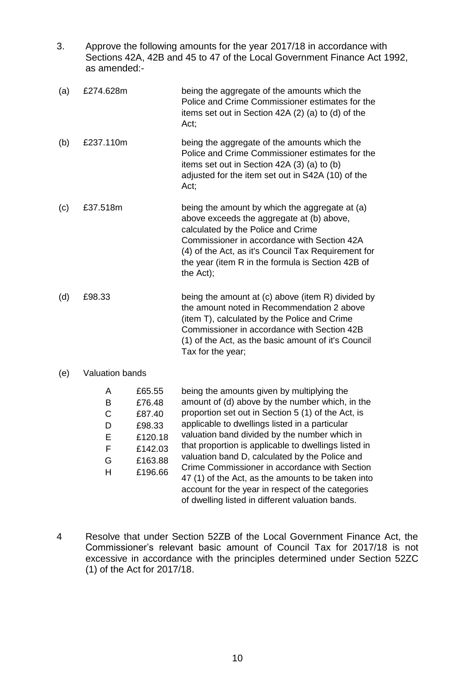| 3.  | Approve the following amounts for the year 2017/18 in accordance with<br>Sections 42A, 42B and 45 to 47 of the Local Government Finance Act 1992,<br>as amended:- |                                      |                                                                                                                                                                                                                                                                                                           |  |  |
|-----|-------------------------------------------------------------------------------------------------------------------------------------------------------------------|--------------------------------------|-----------------------------------------------------------------------------------------------------------------------------------------------------------------------------------------------------------------------------------------------------------------------------------------------------------|--|--|
| (a) | £274.628m                                                                                                                                                         |                                      | being the aggregate of the amounts which the<br>Police and Crime Commissioner estimates for the<br>items set out in Section 42A (2) (a) to (d) of the<br>Act;                                                                                                                                             |  |  |
| (b) | £237.110m                                                                                                                                                         |                                      | being the aggregate of the amounts which the<br>Police and Crime Commissioner estimates for the<br>items set out in Section 42A (3) (a) to (b)<br>adjusted for the item set out in S42A (10) of the<br>Act;                                                                                               |  |  |
| (c) | £37.518m                                                                                                                                                          |                                      | being the amount by which the aggregate at (a)<br>above exceeds the aggregate at (b) above,<br>calculated by the Police and Crime<br>Commissioner in accordance with Section 42A<br>(4) of the Act, as it's Council Tax Requirement for<br>the year (item R in the formula is Section 42B of<br>the Act); |  |  |
| (d) | £98.33                                                                                                                                                            |                                      | being the amount at (c) above (item R) divided by<br>the amount noted in Recommendation 2 above<br>(item T), calculated by the Police and Crime<br>Commissioner in accordance with Section 42B<br>(1) of the Act, as the basic amount of it's Council<br>Tax for the year;                                |  |  |
| (e) | <b>Valuation bands</b>                                                                                                                                            |                                      |                                                                                                                                                                                                                                                                                                           |  |  |
|     | A<br>B<br>C<br>D                                                                                                                                                  | £65.55<br>£76.48<br>£87.40<br>£98.33 | being the amounts given by multiplying the<br>amount of (d) above by the number which, in the<br>proportion set out in Section 5 (1) of the Act, is<br>applicable to dwellings listed in a particular                                                                                                     |  |  |

4 Resolve that under Section 52ZB of the Local Government Finance Act, the Commissioner's relevant basic amount of Council Tax for 2017/18 is not excessive in accordance with the principles determined under Section 52ZC (1) of the Act for 2017/18.

valuation band divided by the number which in that proportion is applicable to dwellings listed in valuation band D, calculated by the Police and Crime Commissioner in accordance with Section 47 (1) of the Act, as the amounts to be taken into account for the year in respect of the categories of dwelling listed in different valuation bands.

E £120.18 F £142.03 G £163.88 H £196.66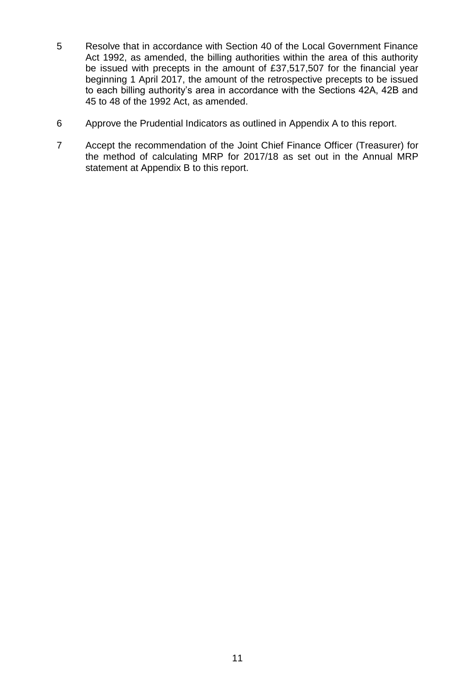- 5 Resolve that in accordance with Section 40 of the Local Government Finance Act 1992, as amended, the billing authorities within the area of this authority be issued with precepts in the amount of £37,517,507 for the financial year beginning 1 April 2017, the amount of the retrospective precepts to be issued to each billing authority's area in accordance with the Sections 42A, 42B and 45 to 48 of the 1992 Act, as amended.
- 6 Approve the Prudential Indicators as outlined in Appendix A to this report.
- 7 Accept the recommendation of the Joint Chief Finance Officer (Treasurer) for the method of calculating MRP for 2017/18 as set out in the Annual MRP statement at Appendix B to this report.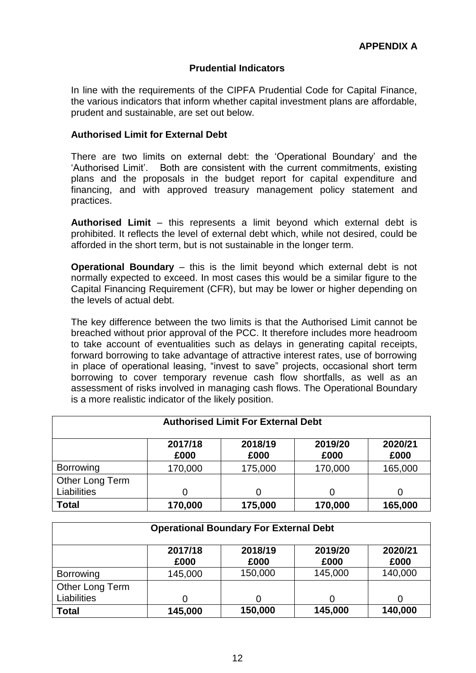# **Prudential Indicators**

In line with the requirements of the CIPFA Prudential Code for Capital Finance, the various indicators that inform whether capital investment plans are affordable, prudent and sustainable, are set out below.

### **Authorised Limit for External Debt**

There are two limits on external debt: the 'Operational Boundary' and the 'Authorised Limit'. Both are consistent with the current commitments, existing plans and the proposals in the budget report for capital expenditure and financing, and with approved treasury management policy statement and practices.

**Authorised Limit** – this represents a limit beyond which external debt is prohibited. It reflects the level of external debt which, while not desired, could be afforded in the short term, but is not sustainable in the longer term.

**Operational Boundary** – this is the limit beyond which external debt is not normally expected to exceed. In most cases this would be a similar figure to the Capital Financing Requirement (CFR), but may be lower or higher depending on the levels of actual debt.

The key difference between the two limits is that the Authorised Limit cannot be breached without prior approval of the PCC. It therefore includes more headroom to take account of eventualities such as delays in generating capital receipts, forward borrowing to take advantage of attractive interest rates, use of borrowing in place of operational leasing, "invest to save" projects, occasional short term borrowing to cover temporary revenue cash flow shortfalls, as well as an assessment of risks involved in managing cash flows. The Operational Boundary is a more realistic indicator of the likely position.

| <b>Authorised Limit For External Debt</b>                                |         |         |         |         |  |  |  |
|--------------------------------------------------------------------------|---------|---------|---------|---------|--|--|--|
| 2017/18<br>2018/19<br>2019/20<br>2020/21<br>£000<br>£000<br>£000<br>£000 |         |         |         |         |  |  |  |
| <b>Borrowing</b>                                                         | 170,000 | 175,000 | 170,000 | 165,000 |  |  |  |
| Other Long Term<br><b>Liabilities</b>                                    | 0       |         |         |         |  |  |  |
| <b>Total</b>                                                             | 170,000 | 175,000 | 170,000 | 165,000 |  |  |  |

| <b>Operational Boundary For External Debt</b>                            |         |         |         |         |  |  |
|--------------------------------------------------------------------------|---------|---------|---------|---------|--|--|
| 2017/18<br>2018/19<br>2019/20<br>2020/21<br>£000<br>£000<br>£000<br>£000 |         |         |         |         |  |  |
| <b>Borrowing</b>                                                         | 145,000 | 150,000 | 145,000 | 140,000 |  |  |
| Other Long Term<br>Liabilities                                           | 0       | 0       |         |         |  |  |
| <b>Total</b>                                                             | 145,000 | 150,000 | 145,000 | 140,000 |  |  |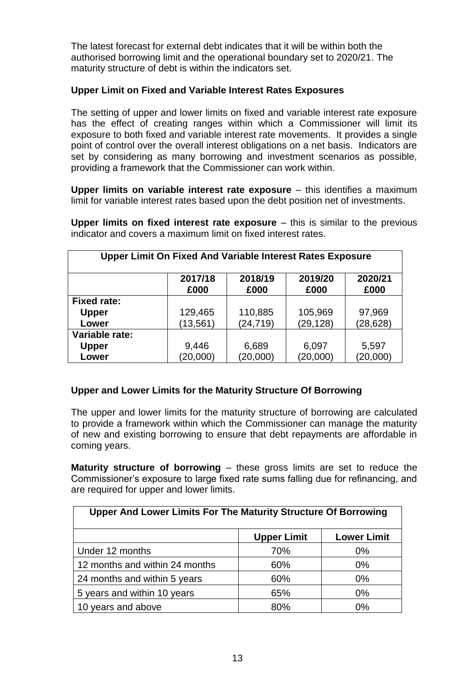The latest forecast for external debt indicates that it will be within both the authorised borrowing limit and the operational boundary set to 2020/21. The maturity structure of debt is within the indicators set.

# **Upper Limit on Fixed and Variable Interest Rates Exposures**

The setting of upper and lower limits on fixed and variable interest rate exposure has the effect of creating ranges within which a Commissioner will limit its exposure to both fixed and variable interest rate movements. It provides a single point of control over the overall interest obligations on a net basis. Indicators are set by considering as many borrowing and investment scenarios as possible, providing a framework that the Commissioner can work within.

**Upper limits on variable interest rate exposure** – this identifies a maximum limit for variable interest rates based upon the debt position net of investments.

| <b>Upper Limit On Fixed And Variable Interest Rates Exposure</b> |                 |                 |                 |                 |
|------------------------------------------------------------------|-----------------|-----------------|-----------------|-----------------|
|                                                                  | 2017/18<br>£000 | 2018/19<br>£000 | 2019/20<br>£000 | 2020/21<br>£000 |
| <b>Fixed rate:</b>                                               |                 |                 |                 |                 |
| <b>Upper</b>                                                     | 129,465         | 110,885         | 105,969         | 97,969          |
| Lower                                                            | (13, 561)       | (24, 719)       | (29, 128)       | (28, 628)       |
| Variable rate:                                                   |                 |                 |                 |                 |
| <b>Upper</b>                                                     | 9,446           | 6,689           | 6,097           | 5,597           |
| Lower                                                            | (20,000)        | (20,000)        | (20,000)        | (20,000)        |

**Upper limits on fixed interest rate exposure** – this is similar to the previous indicator and covers a maximum limit on fixed interest rates.

# **Upper and Lower Limits for the Maturity Structure Of Borrowing**

The upper and lower limits for the maturity structure of borrowing are calculated to provide a framework within which the Commissioner can manage the maturity of new and existing borrowing to ensure that debt repayments are affordable in coming years.

**Maturity structure of borrowing** – these gross limits are set to reduce the Commissioner's exposure to large fixed rate sums falling due for refinancing, and are required for upper and lower limits.

| <b>Upper And Lower Limits For The Maturity Structure Of Borrowing</b> |                    |                    |  |  |
|-----------------------------------------------------------------------|--------------------|--------------------|--|--|
|                                                                       | <b>Upper Limit</b> | <b>Lower Limit</b> |  |  |
| Under 12 months                                                       | 70%                | 0%                 |  |  |
| 12 months and within 24 months                                        | 60%                | $0\%$              |  |  |
| 24 months and within 5 years                                          | 60%                | $0\%$              |  |  |
| 5 years and within 10 years                                           | 65%                | $0\%$              |  |  |
| 10 years and above                                                    | 80%                | 0%                 |  |  |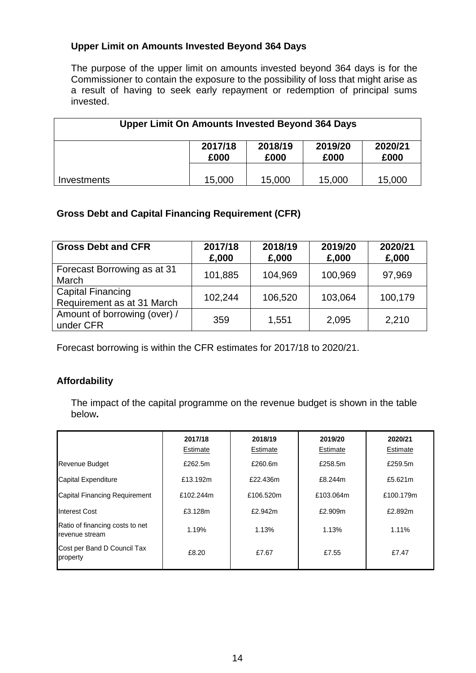# **Upper Limit on Amounts Invested Beyond 364 Days**

The purpose of the upper limit on amounts invested beyond 364 days is for the Commissioner to contain the exposure to the possibility of loss that might arise as a result of having to seek early repayment or redemption of principal sums invested.

| <b>Upper Limit On Amounts Invested Beyond 364 Days</b> |                 |                 |                 |                 |
|--------------------------------------------------------|-----------------|-----------------|-----------------|-----------------|
|                                                        | 2017/18<br>£000 | 2018/19<br>£000 | 2019/20<br>£000 | 2020/21<br>£000 |
| <b>Investments</b>                                     | 15,000          | 15,000          | 15,000          | 15,000          |

# **Gross Debt and Capital Financing Requirement (CFR)**

| <b>Gross Debt and CFR</b>                              | 2017/18<br>£,000 | 2018/19<br>£,000 | 2019/20<br>£,000 | 2020/21<br>£,000 |
|--------------------------------------------------------|------------------|------------------|------------------|------------------|
| Forecast Borrowing as at 31<br>March                   | 101,885          | 104,969          | 100,969          | 97,969           |
| <b>Capital Financing</b><br>Requirement as at 31 March | 102,244          | 106,520          | 103,064          | 100,179          |
| Amount of borrowing (over) /<br>under CFR              | 359              | 1,551            | 2,095            | 2,210            |

Forecast borrowing is within the CFR estimates for 2017/18 to 2020/21.

# **Affordability**

The impact of the capital programme on the revenue budget is shown in the table below**.**

|                                                   | 2017/18<br>Estimate | 2018/19<br>Estimate | 2019/20<br>Estimate | 2020/21<br>Estimate |
|---------------------------------------------------|---------------------|---------------------|---------------------|---------------------|
| <b>Revenue Budget</b>                             | £262.5m             | £260.6m             | £258.5m             | £259.5m             |
| Capital Expenditure                               | £13.192m            | £22.436m            | £8.244m             | £5.621m             |
| Capital Financing Requirement                     | £102.244m           | £106.520m           | £103.064m           | £100.179m           |
| Interest Cost                                     | £3.128m             | £2.942m             | £2.909m             | £2.892m             |
| Ratio of financing costs to net<br>revenue stream | 1.19%               | 1.13%               | 1.13%               | 1.11%               |
| Cost per Band D Council Tax<br>property           | £8.20               | £7.67               | £7.55               | £7.47               |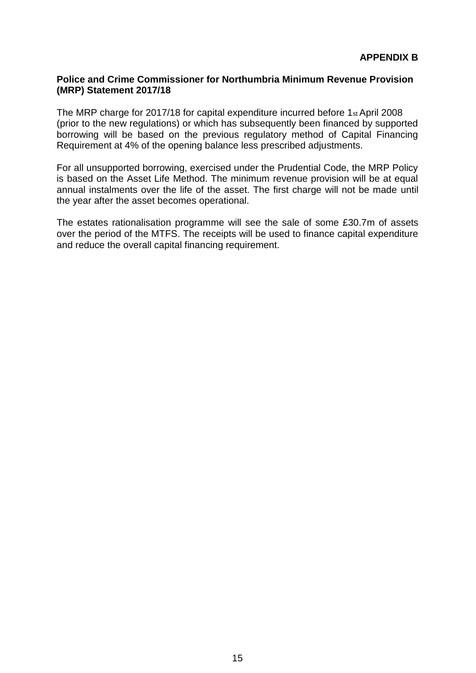### **Police and Crime Commissioner for Northumbria Minimum Revenue Provision (MRP) Statement 2017/18**

The MRP charge for 2017/18 for capital expenditure incurred before 1st April 2008 (prior to the new regulations) or which has subsequently been financed by supported borrowing will be based on the previous regulatory method of Capital Financing Requirement at 4% of the opening balance less prescribed adjustments.

For all unsupported borrowing, exercised under the Prudential Code, the MRP Policy is based on the Asset Life Method. The minimum revenue provision will be at equal annual instalments over the life of the asset. The first charge will not be made until the year after the asset becomes operational.

The estates rationalisation programme will see the sale of some £30.7m of assets over the period of the MTFS. The receipts will be used to finance capital expenditure and reduce the overall capital financing requirement.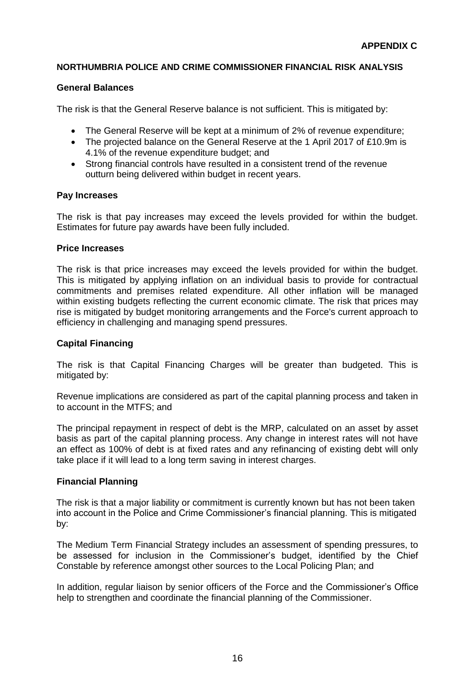### **NORTHUMBRIA POLICE AND CRIME COMMISSIONER FINANCIAL RISK ANALYSIS**

### **General Balances**

The risk is that the General Reserve balance is not sufficient. This is mitigated by:

- The General Reserve will be kept at a minimum of 2% of revenue expenditure;
- The projected balance on the General Reserve at the 1 April 2017 of £10.9m is 4.1% of the revenue expenditure budget; and
- Strong financial controls have resulted in a consistent trend of the revenue outturn being delivered within budget in recent years.

#### **Pay Increases**

The risk is that pay increases may exceed the levels provided for within the budget. Estimates for future pay awards have been fully included.

#### **Price Increases**

The risk is that price increases may exceed the levels provided for within the budget. This is mitigated by applying inflation on an individual basis to provide for contractual commitments and premises related expenditure. All other inflation will be managed within existing budgets reflecting the current economic climate. The risk that prices may rise is mitigated by budget monitoring arrangements and the Force's current approach to efficiency in challenging and managing spend pressures.

#### **Capital Financing**

The risk is that Capital Financing Charges will be greater than budgeted. This is mitigated by:

Revenue implications are considered as part of the capital planning process and taken in to account in the MTFS; and

The principal repayment in respect of debt is the MRP, calculated on an asset by asset basis as part of the capital planning process. Any change in interest rates will not have an effect as 100% of debt is at fixed rates and any refinancing of existing debt will only take place if it will lead to a long term saving in interest charges.

#### **Financial Planning**

The risk is that a major liability or commitment is currently known but has not been taken into account in the Police and Crime Commissioner's financial planning. This is mitigated by:

The Medium Term Financial Strategy includes an assessment of spending pressures, to be assessed for inclusion in the Commissioner's budget, identified by the Chief Constable by reference amongst other sources to the Local Policing Plan; and

In addition, regular liaison by senior officers of the Force and the Commissioner's Office help to strengthen and coordinate the financial planning of the Commissioner.